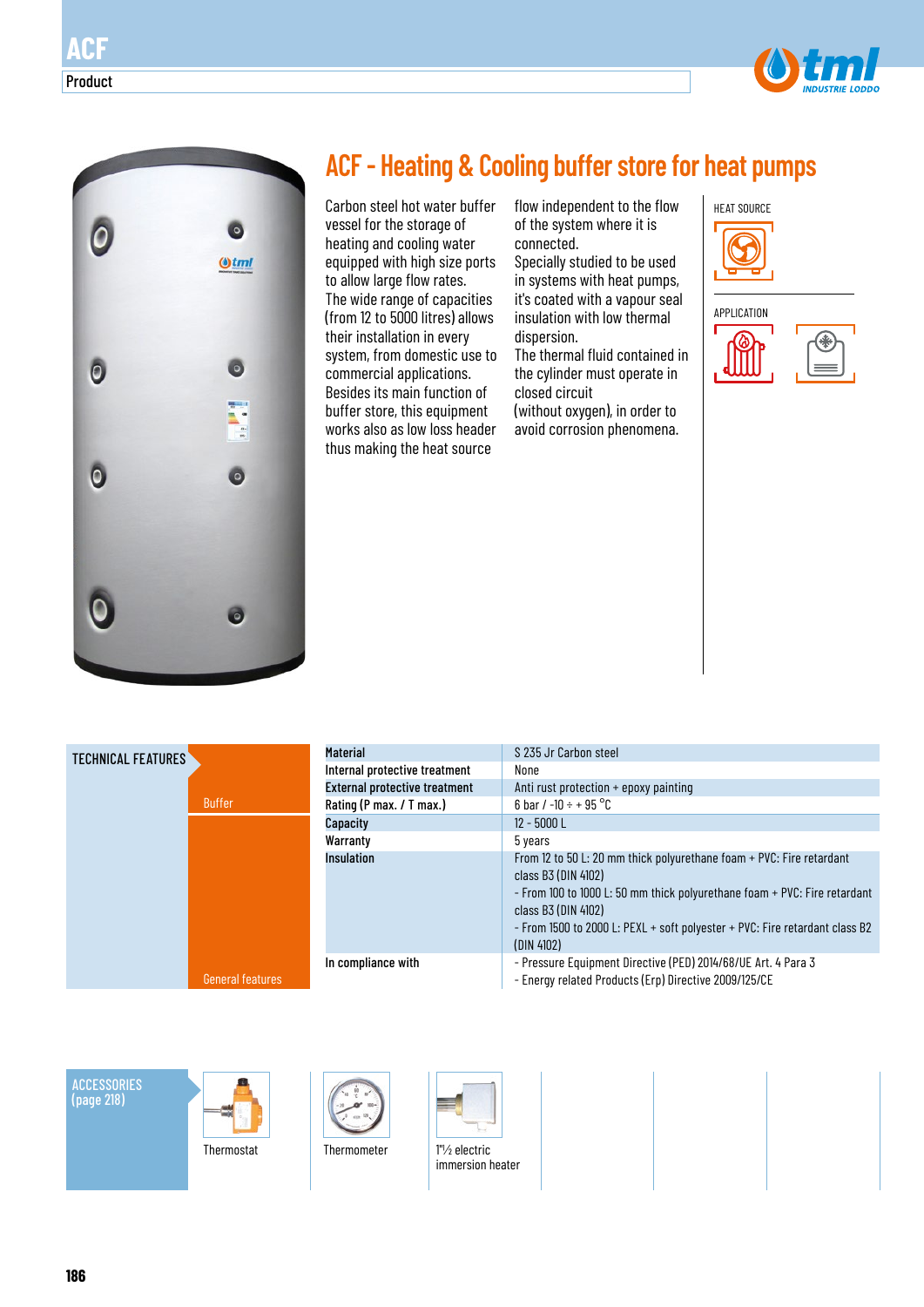



# **ACF - Heating & Cooling buffer store for heat pumps**

Carbon steel hot water buffer vessel for the storage of heating and cooling water equipped with high size ports to allow large flow rates. The wide range of capacities (from 12 to 5000 litres) allows their installation in every system, from domestic use to commercial applications. Besides its main function of buffer store, this equipment works also as low loss header thus making the heat source

flow independent to the flow of the system where it is connected.

Specially studied to be used in systems with heat pumps, it's coated with a vapour seal insulation with low thermal dispersion.

The thermal fluid contained in the cylinder must operate in closed circuit

(without oxygen), in order to avoid corrosion phenomena.







| <b>Material</b>                      | S 235 Jr Carbon steel                                                                                                                                                                                                                                                                        |
|--------------------------------------|----------------------------------------------------------------------------------------------------------------------------------------------------------------------------------------------------------------------------------------------------------------------------------------------|
|                                      |                                                                                                                                                                                                                                                                                              |
| Internal protective treatment        | None                                                                                                                                                                                                                                                                                         |
| <b>External protective treatment</b> | Anti rust protection $+$ epoxy painting                                                                                                                                                                                                                                                      |
| Rating (P max. / T max.)             | 6 bar / -10 ÷ + 95 $^{\circ}$ C                                                                                                                                                                                                                                                              |
| Capacity                             | $12 - 5000$ L                                                                                                                                                                                                                                                                                |
| Warranty                             | 5 years                                                                                                                                                                                                                                                                                      |
| <b>Insulation</b>                    | From 12 to 50 L: 20 mm thick polyurethane foam + PVC: Fire retardant<br>class B3 (DIN 4102)<br>- From 100 to 1000 L: 50 mm thick polyurethane foam + PVC: Fire retardant<br>class B3 (DIN 4102)<br>- From 1500 to 2000 L: PEXL + soft polyester + PVC: Fire retardant class B2<br>(DIN 4102) |
| In compliance with                   | - Pressure Equipment Directive (PED) 2014/68/UE Art. 4 Para 3<br>- Energy related Products (Erp) Directive 2009/125/CE                                                                                                                                                                       |

**ACCESSORIES** (page 218)







immersion heater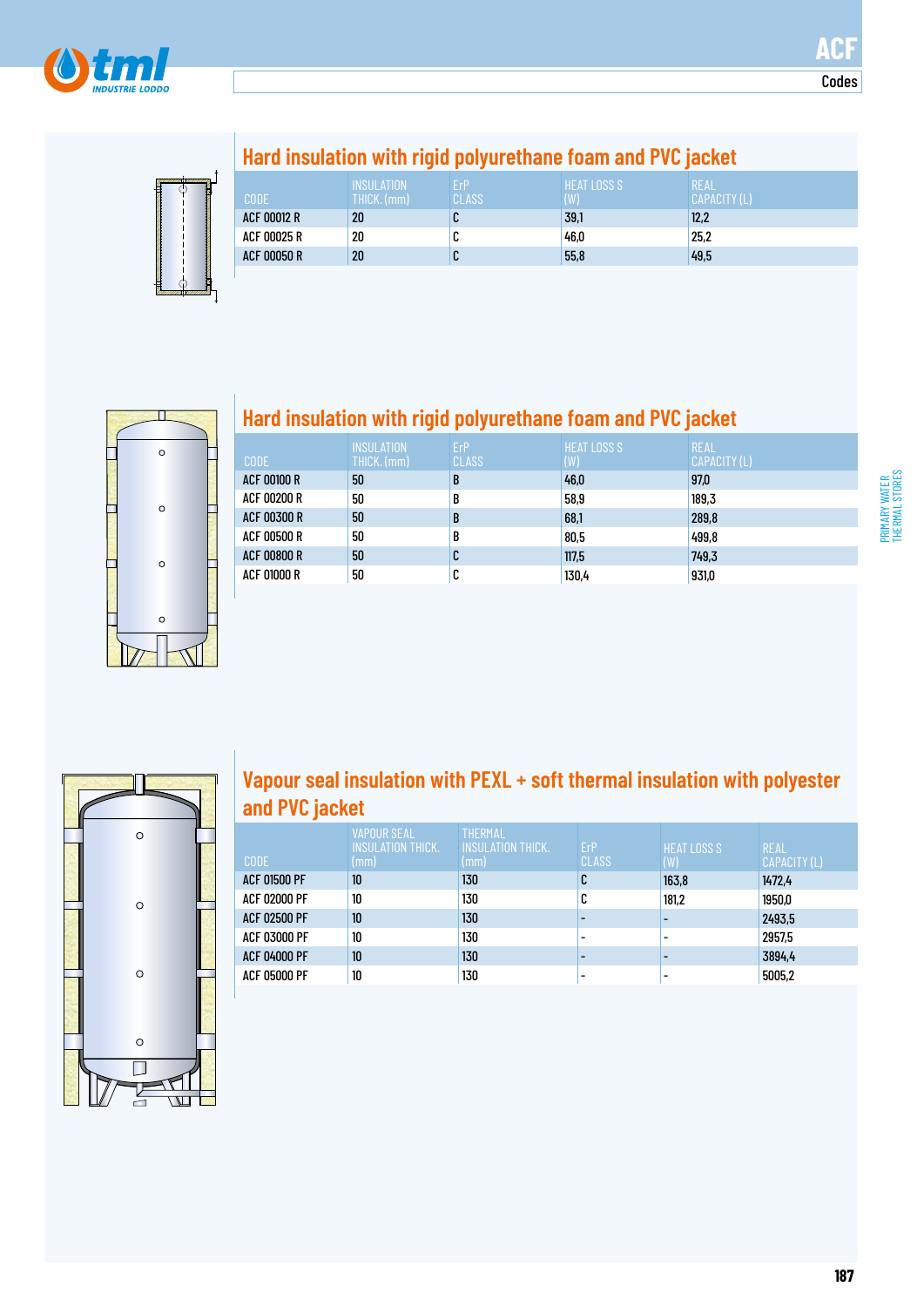

**Codes** 



# **Hard insulation with rigid polyurethane foam and PVC jacket**

| <b>CODE</b>        | <b>INSULATION</b><br>THICK. (mm) | ErP<br>CLASS | <b>HEAT LOSS S</b><br>$(\mathsf{W})$ | REAL<br>CAPACITY (L) |
|--------------------|----------------------------------|--------------|--------------------------------------|----------------------|
| <b>ACF 00012 R</b> | 20                               | u            | 39,1                                 | 12,2                 |
| ACF 00025 R        | 20                               | ◠<br>u       | 46,0                                 | 25,2                 |
| <b>ACF 00050 R</b> | 20                               | ◡            | 55,8                                 | 49,5                 |



## **Hard insulation with rigid polyurethane foam and PVC jacket**

| <b>CODE</b>        | <b>INSULATION</b><br>THICK. (mm) | ErP<br><b>CLASS</b> | <b>HEAT LOSS S</b><br>(W) | <b>REAL</b><br>CAPACITY (L) |
|--------------------|----------------------------------|---------------------|---------------------------|-----------------------------|
| <b>ACF 00100 R</b> | 50                               | B                   | 46,0                      | 97,0                        |
| ACF 00200 R        | 50                               | B                   | 58,9                      | 189,3                       |
| <b>ACF 00300 R</b> | 50                               | B                   | 68,1                      | 289,8                       |
| ACF 00500 R        | 50                               | B                   | 80,5                      | 499.8                       |
| <b>ACF 00800 R</b> | 50                               | C                   | 117,5                     | 749.3                       |
| ACF 01000 R        | 50                               | U                   | 130,4                     | 931,0                       |



### **Vapour seal insulation with PEXL + soft thermal insulation with polyester and PVC jacket**

| CODE                | VAPOUR SEAL<br><b>INSULATION THICK.</b><br>$\mathsf{mm}$ ) | <b>THERMAL</b><br><b>INSULATION THICK.</b><br>(mm) | <b>ErP</b><br><b>CLASS</b> | <b>HEAT LOSS S</b><br>(W) | <b>REAL</b><br>CAPACITY (L) |
|---------------------|------------------------------------------------------------|----------------------------------------------------|----------------------------|---------------------------|-----------------------------|
| <b>ACF 01500 PF</b> | 10                                                         | 130                                                | C                          | 163,8                     | 1472,4                      |
| <b>ACF 02000 PF</b> | 10                                                         | 130                                                | C                          | 181,2                     | 1950,0                      |
| <b>ACF 02500 PF</b> | 10                                                         | 130                                                |                            |                           | 2493,5                      |
| <b>ACF 03000 PF</b> | 10                                                         | 130                                                |                            |                           | 2957.5                      |
| <b>ACF 04000 PF</b> | 10                                                         | 130                                                |                            |                           | 3894,4                      |
| <b>ACF 05000 PF</b> | 10                                                         | 130                                                |                            |                           | 5005,2                      |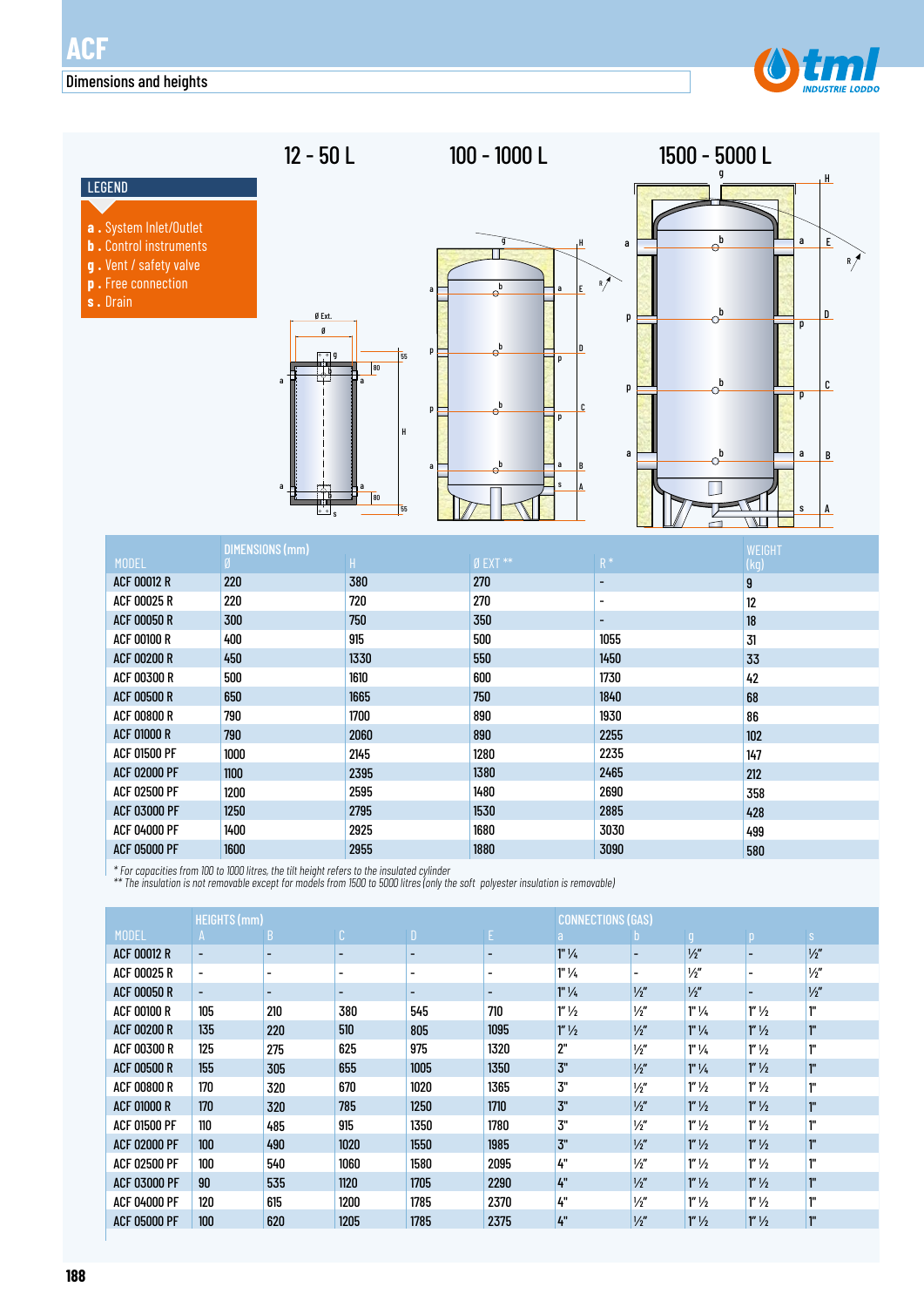

# 12 - 50 L 100 - 1000 L

g

П

 $\Theta^{\text{t}}$ 

 $\theta$ 

b

p

b as  $\Box$ 

H

E

D

C

p

a s

B

A

1500 - 5000 L

- LEGEND
- 
- **a .** System Inlet/Outlet **b .** Control instruments
- **g .** Vent / safety valve
- **p .** Free connection
- **s .** Drain





|                     | <b>DIMENSIONS (mm)</b> | <b>WEIGHT</b> |              |                    |      |
|---------------------|------------------------|---------------|--------------|--------------------|------|
| <b>MODEL</b>        |                        | H.            | $Ø$ EXT $**$ | $\mathsf{R}^{\,*}$ | (kg) |
| <b>ACF 00012 R</b>  | 220                    | 380           | 270          | -                  | 9    |
| ACF 00025 R         | 220                    | 720           | 270          | $\qquad \qquad$    | 12   |
| <b>ACF 00050 R</b>  | 300                    | 750           | 350          | ۰                  | 18   |
| <b>ACF 00100 R</b>  | 400                    | 915           | 500          | 1055               | 31   |
| <b>ACF 00200 R</b>  | 450                    | 1330          | 550          | 1450               | 33   |
| <b>ACF 00300 R</b>  | 500                    | 1610          | 600          | 1730               | 42   |
| <b>ACF 00500 R</b>  | 650                    | 1665          | 750          | 1840               | 68   |
| <b>ACF 00800 R</b>  | 790                    | 1700          | 890          | 1930               | 86   |
| <b>ACF 01000 R</b>  | 790                    | 2060          | 890          | 2255               | 102  |
| <b>ACF 01500 PF</b> | 1000                   | 2145          | 1280         | 2235               | 147  |
| <b>ACF 02000 PF</b> | 1100                   | 2395          | 1380         | 2465               | 212  |
| <b>ACF 02500 PF</b> | 1200                   | 2595          | 1480         | 2690               | 358  |
| <b>ACF 03000 PF</b> | 1250                   | 2795          | 1530         | 2885               | 428  |
| ACF 04000 PF        | 1400                   | 2925          | 1680         | 3030               | 499  |
| <b>ACF 05000 PF</b> | 1600                   | 2955          | 1880         | 3090               | 580  |

*\* For capacities from 100 to 1000 litres, the tilt height refers to the insulated cylinder*

*\*\* The insulation is not removable except for models from 1500 to 5000 litres (only the soft polyester insulation is removable)*

|                     | <b>HEIGHTS (mm)</b>      |                          |                          |                          | <b>CONNECTIONS (GAS)</b> |                    |                          |                    |                          |               |
|---------------------|--------------------------|--------------------------|--------------------------|--------------------------|--------------------------|--------------------|--------------------------|--------------------|--------------------------|---------------|
| <b>MODEL</b>        | A                        | B                        | $\mathbb{C}$             | $\mathbf{D}^1$           | E.                       | a.                 | $\mathbf{D}$             | $\mathbf{0}$       | $\mathsf{p}$             | S             |
| <b>ACF 00012 R</b>  | $\overline{\phantom{a}}$ | ۰                        | $\overline{\phantom{a}}$ | $\overline{\phantom{0}}$ |                          | $1"$ $\frac{1}{4}$ |                          | $\frac{1}{2}$      |                          | $\frac{1}{2}$ |
| ACF 00025 R         | $\blacksquare$           | $\overline{\phantom{a}}$ | $\overline{\phantom{a}}$ | $\overline{\phantom{a}}$ | $\overline{\phantom{a}}$ | $1"$ $\frac{1}{4}$ | $\overline{\phantom{0}}$ | $\frac{1}{2}$      | $\overline{\phantom{0}}$ | $\frac{1}{2}$ |
| <b>ACF 00050 R</b>  | $\overline{\phantom{a}}$ | -                        | $\overline{\phantom{a}}$ | $\overline{\phantom{0}}$ |                          | $1"$ $\frac{1}{4}$ | 1/2''                    | $\frac{1}{2}$      |                          | $\frac{1}{2}$ |
| <b>ACF 00100 R</b>  | 105                      | 210                      | 380                      | 545                      | 710                      | $1''\frac{1}{2}$   | $\frac{1}{2}$            | $1"$ $\frac{1}{4}$ | $1''\frac{1}{2}$         | ľ.            |
| <b>ACF 00200 R</b>  | 135                      | 220                      | 510                      | 805                      | 1095                     | $1''\frac{1}{2}$   | $\frac{1}{2}$            | $1"$ $\frac{1}{4}$ | $1''\frac{1}{2}$         | ľ.            |
| <b>ACF 00300 R</b>  | 125                      | 275                      | 625                      | 975                      | 1320                     | 2"                 | $\frac{1}{2}$            | $1"$ $\frac{1}{4}$ | $1''\frac{1}{2}$         | ľ.            |
| <b>ACF 00500 R</b>  | 155                      | 305                      | 655                      | 1005                     | 1350                     | 3"                 | $\frac{1}{2}$            | $1"$ $\frac{1}{4}$ | $1''\frac{1}{2}$         | <sup>"</sup>  |
| <b>ACF 00800 R</b>  | 170                      | 320                      | 670                      | 1020                     | 1365                     | 3"                 | $\frac{1}{2}$            | $1''\frac{1}{2}$   | $1''\frac{1}{2}$         | ľ"            |
| <b>ACF 01000 R</b>  | 170                      | 320                      | 785                      | 1250                     | 1710                     | 3"                 | $\frac{1}{2}$            | $1''\frac{1}{2}$   | $1''\frac{1}{2}$         | ľ"            |
| <b>ACF 01500 PF</b> | 110                      | 485                      | 915                      | 1350                     | 1780                     | 3"                 | $\frac{1}{2}$            | $1''\frac{1}{2}$   | $1''\frac{1}{2}$         | ľ.            |
| <b>ACF 02000 PF</b> | 100                      | 490                      | 1020                     | 1550                     | 1985                     | 3"                 | $\frac{1}{2}$            | $1''\frac{1}{2}$   | $1''\frac{1}{2}$         | <sup>"</sup>  |
| <b>ACF 02500 PF</b> | 100                      | 540                      | 1060                     | 1580                     | 2095                     | 4"                 | $\frac{1}{2}$            | $1''\frac{1}{2}$   | $1''\frac{1}{2}$         | ľ.            |
| <b>ACF 03000 PF</b> | 90                       | 535                      | 1120                     | 1705                     | 2290                     | 4"                 | $\frac{1}{2}$            | $1''\frac{1}{2}$   | $1''\frac{1}{2}$         | <sup>"</sup>  |
| <b>ACF 04000 PF</b> | 120                      | 615                      | 1200                     | 1785                     | 2370                     | 4"                 | $\frac{1}{2}$            | $1''\frac{1}{2}$   | $1''\frac{1}{2}$         | 1"            |
| <b>ACF 05000 PF</b> | 100                      | 620                      | 1205                     | 1785                     | 2375                     | 4"                 | $\frac{1}{2}$            | $1''\frac{1}{2}$   | $1''\frac{1}{2}$         | ľ.            |